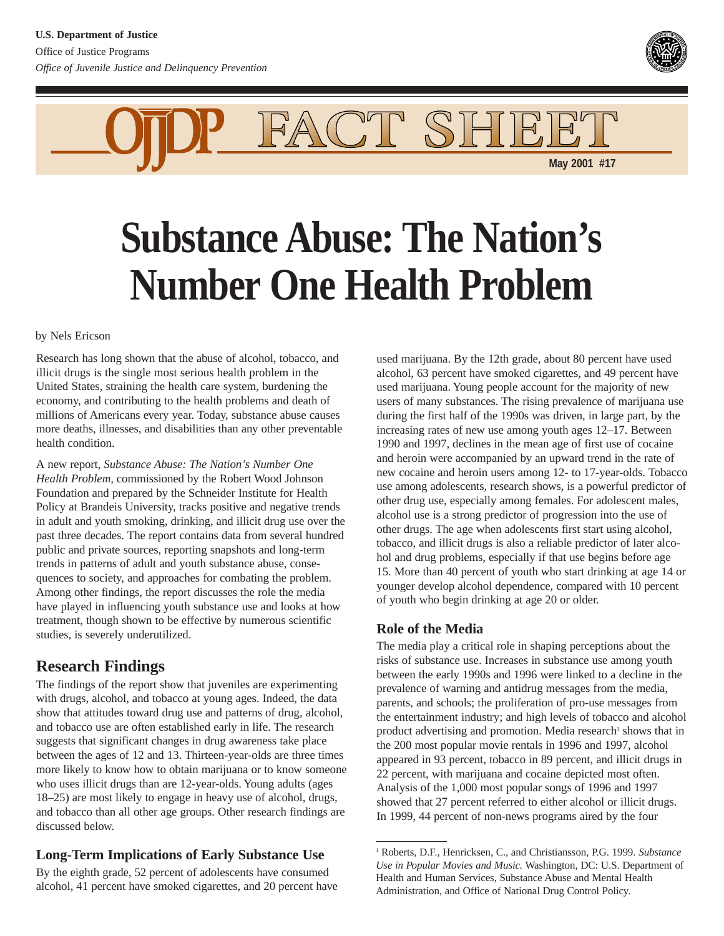

FACT SHIE **May 2001 #17**

# **Substance Abuse: The Nation's Number One Health Problem**

by Nels Ericson

Research has long shown that the abuse of alcohol, tobacco, and illicit drugs is the single most serious health problem in the United States, straining the health care system, burdening the economy, and contributing to the health problems and death of millions of Americans every year. Today, substance abuse causes more deaths, illnesses, and disabilities than any other preventable health condition.

A new report, *Substance Abuse: The Nation's Number One Health Problem,* commissioned by the Robert Wood Johnson Foundation and prepared by the Schneider Institute for Health Policy at Brandeis University, tracks positive and negative trends in adult and youth smoking, drinking, and illicit drug use over the past three decades. The report contains data from several hundred public and private sources, reporting snapshots and long-term trends in patterns of adult and youth substance abuse, consequences to society, and approaches for combating the problem. Among other findings, the report discusses the role the media have played in influencing youth substance use and looks at how treatment, though shown to be effective by numerous scientific studies, is severely underutilized.

# **Research Findings**

The findings of the report show that juveniles are experimenting with drugs, alcohol, and tobacco at young ages. Indeed, the data show that attitudes toward drug use and patterns of drug, alcohol, and tobacco use are often established early in life. The research suggests that significant changes in drug awareness take place between the ages of 12 and 13. Thirteen-year-olds are three times more likely to know how to obtain marijuana or to know someone who uses illicit drugs than are 12-year-olds. Young adults (ages 18–25) are most likely to engage in heavy use of alcohol, drugs, and tobacco than all other age groups. Other research findings are discussed below.

## **Long-Term Implications of Early Substance Use**

By the eighth grade, 52 percent of adolescents have consumed alcohol, 41 percent have smoked cigarettes, and 20 percent have used marijuana. By the 12th grade, about 80 percent have used alcohol, 63 percent have smoked cigarettes, and 49 percent have used marijuana. Young people account for the majority of new users of many substances. The rising prevalence of marijuana use during the first half of the 1990s was driven, in large part, by the increasing rates of new use among youth ages 12–17. Between 1990 and 1997, declines in the mean age of first use of cocaine and heroin were accompanied by an upward trend in the rate of new cocaine and heroin users among 12- to 17-year-olds. Tobacco use among adolescents, research shows, is a powerful predictor of other drug use, especially among females. For adolescent males, alcohol use is a strong predictor of progression into the use of other drugs. The age when adolescents first start using alcohol, tobacco, and illicit drugs is also a reliable predictor of later alcohol and drug problems, especially if that use begins before age 15. More than 40 percent of youth who start drinking at age 14 or younger develop alcohol dependence, compared with 10 percent of youth who begin drinking at age 20 or older.

## **Role of the Media**

The media play a critical role in shaping perceptions about the risks of substance use. Increases in substance use among youth between the early 1990s and 1996 were linked to a decline in the prevalence of warning and antidrug messages from the media, parents, and schools; the proliferation of pro-use messages from the entertainment industry; and high levels of tobacco and alcohol product advertising and promotion. Media research<sup>1</sup> shows that in the 200 most popular movie rentals in 1996 and 1997, alcohol appeared in 93 percent, tobacco in 89 percent, and illicit drugs in 22 percent, with marijuana and cocaine depicted most often. Analysis of the 1,000 most popular songs of 1996 and 1997 showed that 27 percent referred to either alcohol or illicit drugs. In 1999, 44 percent of non-news programs aired by the four

<sup>1</sup> Roberts, D.F., Henricksen, C., and Christiansson, P.G. 1999. *Substance Use in Popular Movies and Music.* Washington, DC: U.S. Department of Health and Human Services, Substance Abuse and Mental Health Administration, and Office of National Drug Control Policy.